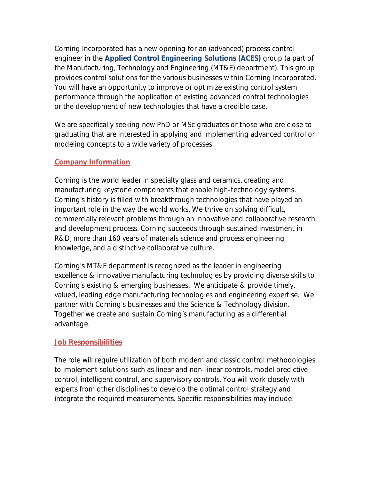Corning Incorporated has a new opening for an (advanced) process control engineer in the **Applied Control Engineering Solutions (ACES)** group (a part of the Manufacturing, Technology and Engineering (MT&E) department). This group provides control solutions for the various businesses within Corning Incorporated. You will have an opportunity to improve or optimize existing control system performance through the application of existing advanced control technologies or the development of new technologies that have a credible case.

We are specifically seeking new PhD or MSc graduates or those who are close to graduating that are interested in applying and implementing advanced control or modeling concepts to a wide variety of processes.

## **Company Information**

Corning is the world leader in specialty glass and ceramics, creating and manufacturing keystone components that enable high-technology systems. Corning's history is filled with breakthrough technologies that have played an important role in the way the world works. We thrive on solving difficult, commercially relevant problems through an innovative and collaborative research and development process. Corning succeeds through sustained investment in R&D, more than 160 years of materials science and process engineering knowledge, and a distinctive collaborative culture.

Corning's MT&E department is recognized as the leader in engineering excellence & innovative manufacturing technologies by providing diverse skills to Corning's existing & emerging businesses. We anticipate & provide timely, valued, leading edge manufacturing technologies and engineering expertise. We partner with Corning's businesses and the Science & Technology division. Together we create and sustain Corning's manufacturing as a differential advantage.

#### **Job Responsibilities**

The role will require utilization of both modern and classic control methodologies to implement solutions such as linear and non-linear controls, model predictive control, intelligent control, and supervisory controls. You will work closely with experts from other disciplines to develop the optimal control strategy and integrate the required measurements. Specific responsibilities may include: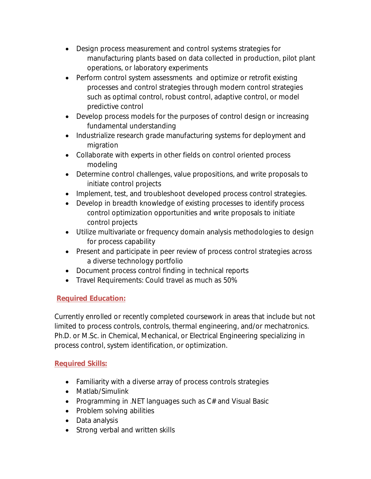- Design process measurement and control systems strategies for manufacturing plants based on data collected in production, pilot plant operations, or laboratory experiments
- Perform control system assessments and optimize or retrofit existing processes and control strategies through modern control strategies such as optimal control, robust control, adaptive control, or model predictive control
- Develop process models for the purposes of control design or increasing fundamental understanding
- Industrialize research grade manufacturing systems for deployment and migration
- Collaborate with experts in other fields on control oriented process modeling
- Determine control challenges, value propositions, and write proposals to initiate control projects
- Implement, test, and troubleshoot developed process control strategies.
- Develop in breadth knowledge of existing processes to identify process control optimization opportunities and write proposals to initiate control projects
- Utilize multivariate or frequency domain analysis methodologies to design for process capability
- Present and participate in peer review of process control strategies across a diverse technology portfolio
- Document process control finding in technical reports
- Travel Requirements: Could travel as much as 50%

# **Required Education:**

Currently enrolled or recently completed coursework in areas that include but not limited to process controls, controls, thermal engineering, and/or mechatronics. Ph.D. or M.Sc. in Chemical, Mechanical, or Electrical Engineering specializing in process control, system identification, or optimization.

# **Required Skills:**

- Familiarity with a diverse array of process controls strategies
- Matlab/Simulink
- Programming in .NET languages such as C# and Visual Basic
- Problem solving abilities
- Data analysis
- Strong verbal and written skills